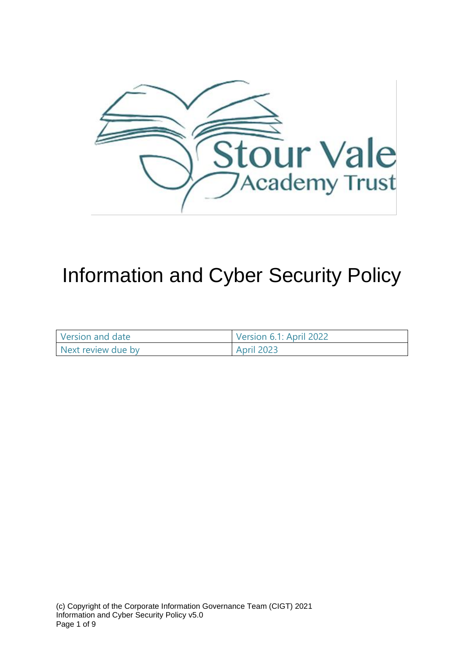

# Information and Cyber Security Policy

| Version and date   | Version 6.1: April 2022 |
|--------------------|-------------------------|
| Next review due by | <b>April 2023</b>       |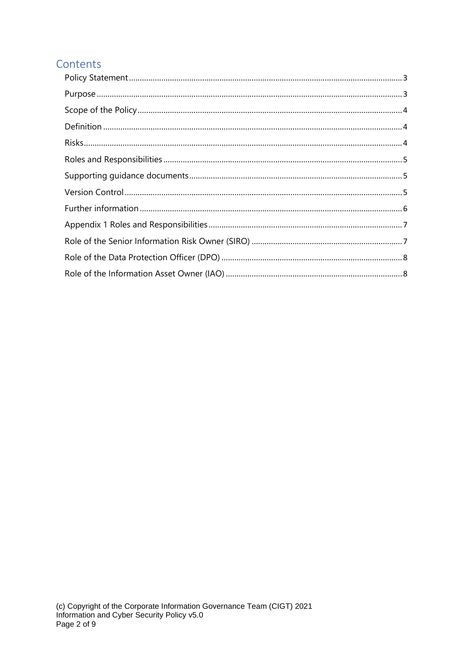## Contents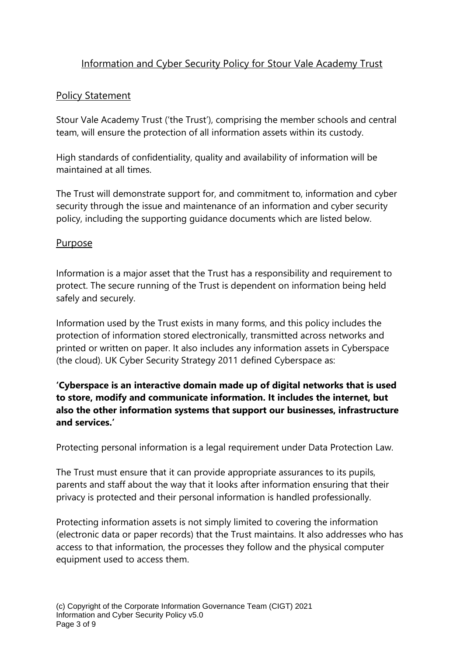## Information and Cyber Security Policy for Stour Vale Academy Trust

#### <span id="page-2-0"></span>Policy Statement

Stour Vale Academy Trust ('the Trust'), comprising the member schools and central team, will ensure the protection of all information assets within its custody.

High standards of confidentiality, quality and availability of information will be maintained at all times.

The Trust will demonstrate support for, and commitment to, information and cyber security through the issue and maintenance of an information and cyber security policy, including the supporting guidance documents which are listed below.

#### <span id="page-2-1"></span>Purpose

Information is a major asset that the Trust has a responsibility and requirement to protect. The secure running of the Trust is dependent on information being held safely and securely.

Information used by the Trust exists in many forms, and this policy includes the protection of information stored electronically, transmitted across networks and printed or written on paper. It also includes any information assets in Cyberspace (the cloud). UK Cyber Security Strategy 2011 defined Cyberspace as:

**'Cyberspace is an interactive domain made up of digital networks that is used to store, modify and communicate information. It includes the internet, but also the other information systems that support our businesses, infrastructure and services.'**

Protecting personal information is a legal requirement under Data Protection Law.

The Trust must ensure that it can provide appropriate assurances to its pupils, parents and staff about the way that it looks after information ensuring that their privacy is protected and their personal information is handled professionally.

Protecting information assets is not simply limited to covering the information (electronic data or paper records) that the Trust maintains. It also addresses who has access to that information, the processes they follow and the physical computer equipment used to access them.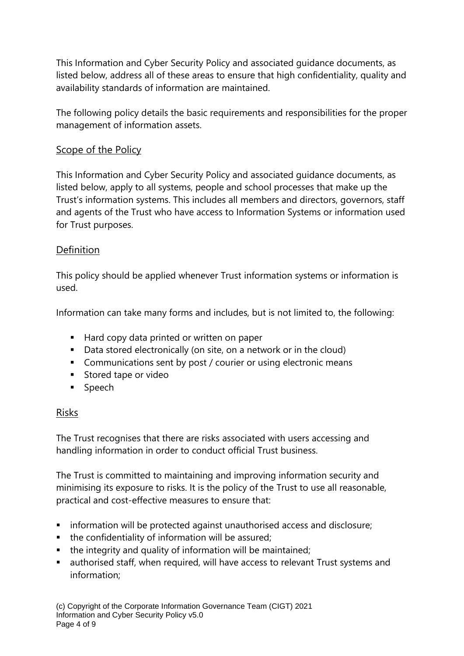This Information and Cyber Security Policy and associated guidance documents, as listed below, address all of these areas to ensure that high confidentiality, quality and availability standards of information are maintained.

The following policy details the basic requirements and responsibilities for the proper management of information assets.

## <span id="page-3-0"></span>Scope of the Policy

This Information and Cyber Security Policy and associated guidance documents, as listed below, apply to all systems, people and school processes that make up the Trust's information systems. This includes all members and directors, governors, staff and agents of the Trust who have access to Information Systems or information used for Trust purposes.

### <span id="page-3-1"></span>**Definition**

This policy should be applied whenever Trust information systems or information is used.

Information can take many forms and includes, but is not limited to, the following:

- Hard copy data printed or written on paper
- Data stored electronically (on site, on a network or in the cloud)
- Communications sent by post / courier or using electronic means
- Stored tape or video
- Speech

## <span id="page-3-2"></span>Risks

The Trust recognises that there are risks associated with users accessing and handling information in order to conduct official Trust business.

The Trust is committed to maintaining and improving information security and minimising its exposure to risks. It is the policy of the Trust to use all reasonable, practical and cost-effective measures to ensure that:

- **EXEDENT** information will be protected against unauthorised access and disclosure;
- the confidentiality of information will be assured;
- the integrity and quality of information will be maintained;
- authorised staff, when required, will have access to relevant Trust systems and information;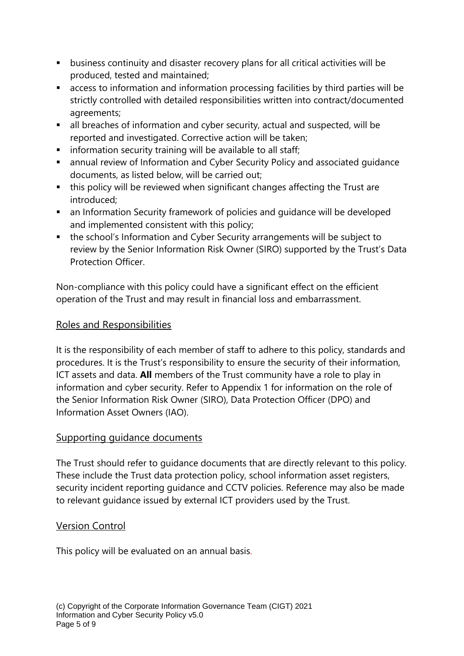- business continuity and disaster recovery plans for all critical activities will be produced, tested and maintained;
- access to information and information processing facilities by third parties will be strictly controlled with detailed responsibilities written into contract/documented agreements;
- all breaches of information and cyber security, actual and suspected, will be reported and investigated. Corrective action will be taken;
- **E** information security training will be available to all staff;
- annual review of Information and Cyber Security Policy and associated guidance documents, as listed below, will be carried out;
- this policy will be reviewed when significant changes affecting the Trust are introduced;
- an Information Security framework of policies and quidance will be developed and implemented consistent with this policy;
- the school's Information and Cyber Security arrangements will be subject to review by the Senior Information Risk Owner (SIRO) supported by the Trust's Data Protection Officer.

Non-compliance with this policy could have a significant effect on the efficient operation of the Trust and may result in financial loss and embarrassment.

## <span id="page-4-0"></span>Roles and Responsibilities

It is the responsibility of each member of staff to adhere to this policy, standards and procedures. It is the Trust's responsibility to ensure the security of their information, ICT assets and data. **All** members of the Trust community have a role to play in information and cyber security. Refer to Appendix 1 for information on the role of the Senior Information Risk Owner (SIRO), Data Protection Officer (DPO) and Information Asset Owners (IAO).

#### <span id="page-4-1"></span>Supporting quidance documents

The Trust should refer to guidance documents that are directly relevant to this policy. These include the Trust data protection policy, school information asset registers, security incident reporting guidance and CCTV policies. Reference may also be made to relevant guidance issued by external ICT providers used by the Trust.

#### <span id="page-4-2"></span>Version Control

This policy will be evaluated on an annual basis.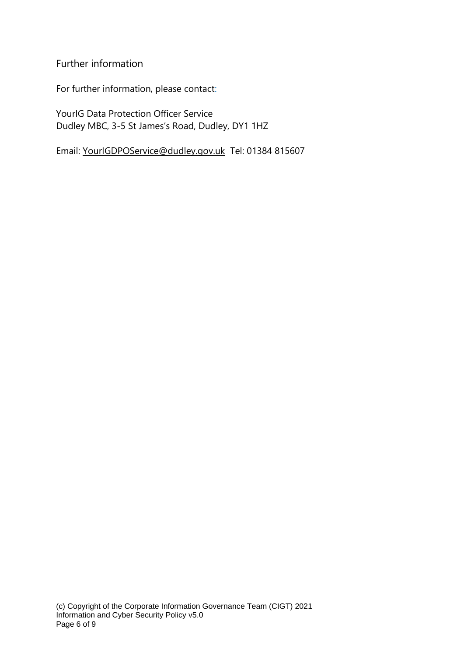#### <span id="page-5-0"></span>Further information

For further information, please contact:

YourIG Data Protection Officer Service Dudley MBC, 3-5 St James's Road, Dudley, DY1 1HZ

Email: [YourIGDPOService@dudley.gov.uk](mailto:YourIGDPOService@dudley.gov.uk) Tel: 01384 815607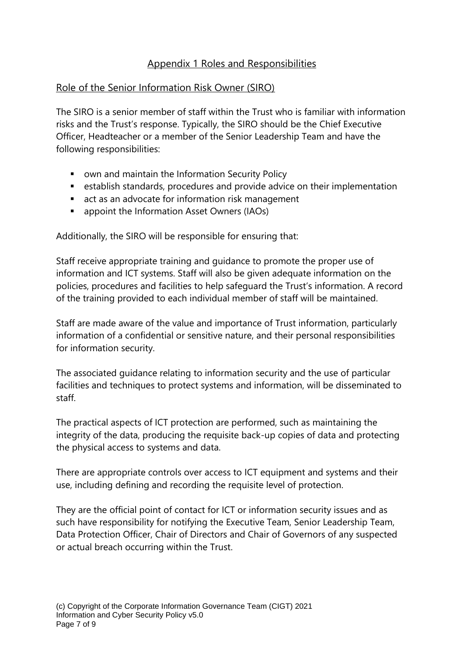## Appendix 1 Roles and Responsibilities

### <span id="page-6-1"></span><span id="page-6-0"></span>Role of the Senior Information Risk Owner (SIRO)

The SIRO is a senior member of staff within the Trust who is familiar with information risks and the Trust's response. Typically, the SIRO should be the Chief Executive Officer, Headteacher or a member of the Senior Leadership Team and have the following responsibilities:

- own and maintain the Information Security Policy
- establish standards, procedures and provide advice on their implementation
- act as an advocate for information risk management
- appoint the Information Asset Owners (IAOs)

Additionally, the SIRO will be responsible for ensuring that:

Staff receive appropriate training and guidance to promote the proper use of information and ICT systems. Staff will also be given adequate information on the policies, procedures and facilities to help safeguard the Trust's information. A record of the training provided to each individual member of staff will be maintained.

Staff are made aware of the value and importance of Trust information, particularly information of a confidential or sensitive nature, and their personal responsibilities for information security.

The associated guidance relating to information security and the use of particular facilities and techniques to protect systems and information, will be disseminated to staff.

The practical aspects of ICT protection are performed, such as maintaining the integrity of the data, producing the requisite back-up copies of data and protecting the physical access to systems and data.

There are appropriate controls over access to ICT equipment and systems and their use, including defining and recording the requisite level of protection.

They are the official point of contact for ICT or information security issues and as such have responsibility for notifying the Executive Team, Senior Leadership Team, Data Protection Officer, Chair of Directors and Chair of Governors of any suspected or actual breach occurring within the Trust.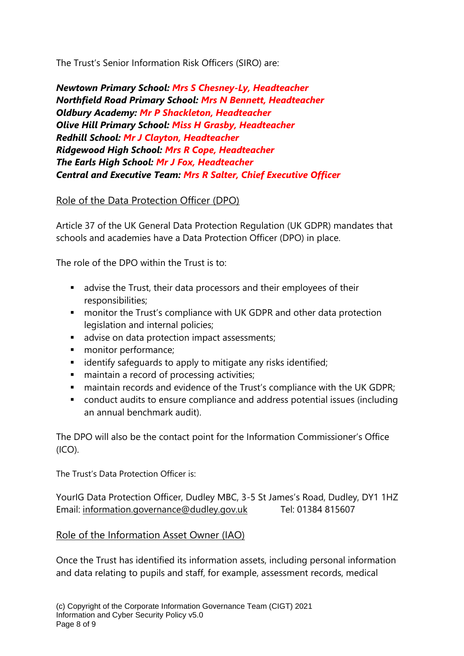The Trust's Senior Information Risk Officers (SIRO) are:

*Newtown Primary School: Mrs S Chesney-Ly, Headteacher Northfield Road Primary School: Mrs N Bennett, Headteacher Oldbury Academy: Mr P Shackleton, Headteacher Olive Hill Primary School: Miss H Grasby, Headteacher Redhill School: Mr J Clayton, Headteacher Ridgewood High School: Mrs R Cope, Headteacher The Earls High School: Mr J Fox, Headteacher Central and Executive Team: Mrs R Salter, Chief Executive Officer*

### <span id="page-7-0"></span>Role of the Data Protection Officer (DPO)

Article 37 of the UK General Data Protection Regulation (UK GDPR) mandates that schools and academies have a Data Protection Officer (DPO) in place.

The role of the DPO within the Trust is to:

- advise the Trust, their data processors and their employees of their responsibilities;
- monitor the Trust's compliance with UK GDPR and other data protection legislation and internal policies;
- advise on data protection impact assessments;
- monitor performance;
- identify safeguards to apply to mitigate any risks identified;
- maintain a record of processing activities;
- maintain records and evidence of the Trust's compliance with the UK GDPR;
- conduct audits to ensure compliance and address potential issues (including an annual benchmark audit).

The DPO will also be the contact point for the Information Commissioner's Office  $(ICO).$ 

The Trust's Data Protection Officer is:

YourIG Data Protection Officer, Dudley MBC, 3-5 St James's Road, Dudley, DY1 1HZ Email: [information.governance@dudley.gov.uk](mailto:information.governance@dudley.gov.uk) Tel: 01384 815607

#### <span id="page-7-1"></span>Role of the Information Asset Owner (IAO)

Once the Trust has identified its information assets, including personal information and data relating to pupils and staff, for example, assessment records, medical